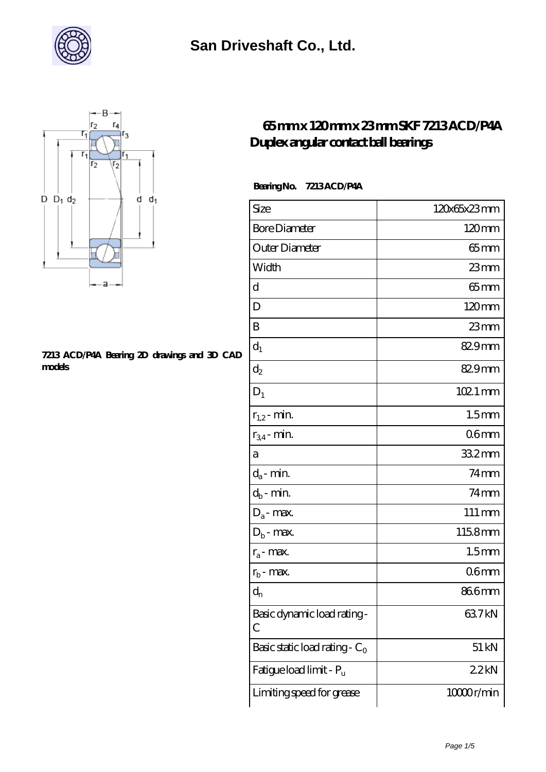



#### **[7213 ACD/P4A Bearing 2D drawings and 3D CAD](https://m.xhjko.com/pic-147446.html) [models](https://m.xhjko.com/pic-147446.html)**

#### **[65 mm x 120 mm x 23 mm SKF 7213 ACD/P4A](https://m.xhjko.com/af-147446-skf-7213-acd-p4a-duplex-angular-contact-ball-bearings.html) [Duplex angular contact ball bearings](https://m.xhjko.com/af-147446-skf-7213-acd-p4a-duplex-angular-contact-ball-bearings.html)**

#### **Bearing No. 7213 ACD/P4A**

| Size                             | 120x65x23mm         |
|----------------------------------|---------------------|
| <b>Bore Diameter</b>             | 120mm               |
| Outer Diameter                   | 65mm                |
| Width                            | $23$ mm             |
| d                                | $65$ mm             |
| D                                | 120mm               |
| B                                | 23mm                |
| $d_1$                            | 829mm               |
| $\mathrm{d}_2$                   | 829mm               |
| $D_1$                            | $1021$ mm           |
| $r_{1,2}$ - min.                 | 1.5 <sub>mm</sub>   |
| $r_{34}$ - min.                  | 06 <sub>mm</sub>    |
| а                                | 33.2mm              |
| $d_a$ - min.                     | $74 \text{mm}$      |
| $d_b$ - min.                     | $74$ mm             |
| $D_a$ - max.                     | $111 \,\mathrm{mm}$ |
| $D_b$ - max.                     | 1158mm              |
| $r_a$ - max.                     | 1.5 <sub>mm</sub>   |
| $r_{b}$ - max.                   | 06 <sub>mm</sub>    |
| $d_{n}$                          | 866mm               |
| Basic dynamic load rating-<br>С  | 63.7kN              |
| Basic static load rating - $C_0$ | $51 \,\mathrm{kN}$  |
| Fatigue load limit - Pu          | 22kN                |
| Limiting speed for grease        | 10000r/min          |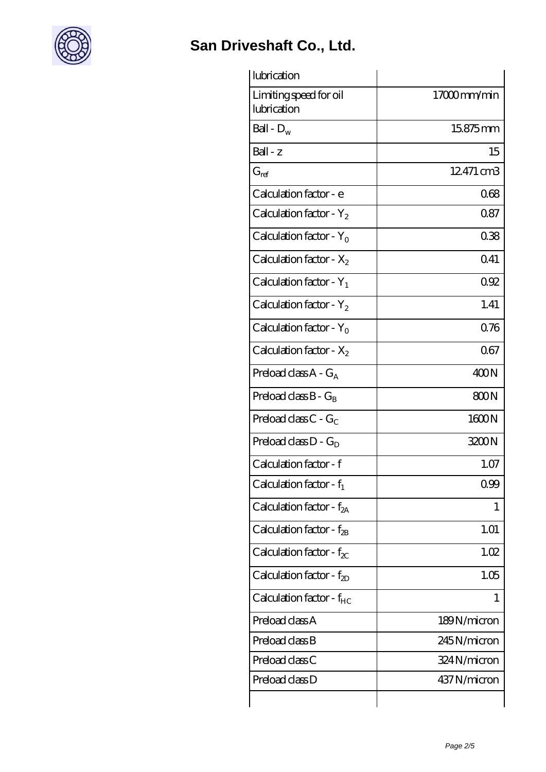

| lubrication                           |             |
|---------------------------------------|-------------|
| Limiting speed for oil<br>lubrication | 17000mm/min |
| Ball - $D_w$                          | 15.875mm    |
| Ball - z                              | 15          |
| $G_{ref}$                             | 12.471 cm3  |
| Calculation factor - e                | 068         |
| Calculation factor - $Y_2$            | 0.87        |
| Calculation factor - $Y_0$            | 038         |
| Calculation factor - $X_2$            | 041         |
| Calculation factor - $Y_1$            | 092         |
| Calculation factor - $Y_2$            | 1.41        |
| Calculation factor - $Y_0$            | 076         |
| Calculation factor - $X_2$            | 067         |
| Preload class $A - G_A$               | 400N        |
| Preload class $B - G_B$               | 800N        |
| Preload class $C - G_C$               | 1600N       |
| Preload class $D - G_D$               | 3200N       |
| Calculation factor - f                | 1.07        |
| Calculation factor - $f_1$            | 0.99        |
| Calculation factor - $f_{2A}$         | 1           |
| Calculation factor - $f_{2B}$         | 1.01        |
| Calculation factor - $f_{\chi}$       | 1.02        |
| Calculation factor - f <sub>2D</sub>  | 1.05        |
| Calculation factor - f <sub>HC</sub>  | 1           |
| Preload class A                       | 189N/micron |
| Preload class B                       | 245N/micron |
| Preload class C                       | 324N/micron |
| Preload class D                       | 437N/micron |
|                                       |             |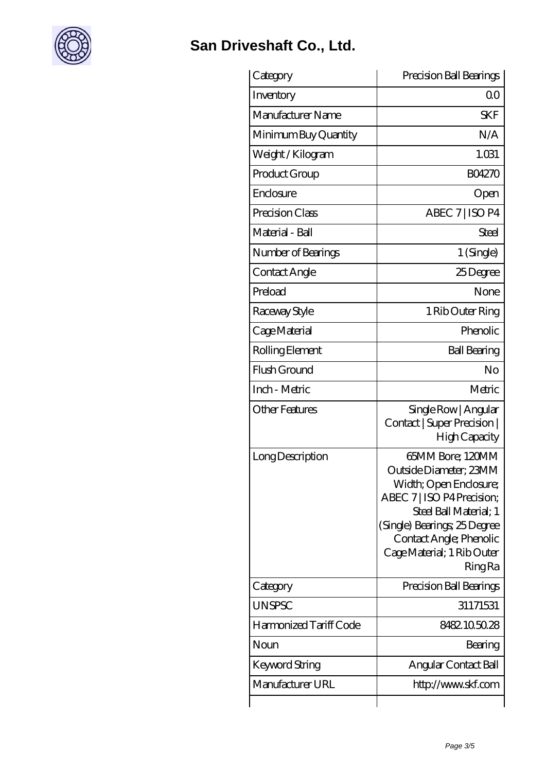

| Category               | Precision Ball Bearings                                                                                                                                                                                                                 |
|------------------------|-----------------------------------------------------------------------------------------------------------------------------------------------------------------------------------------------------------------------------------------|
| Inventory              | Q0                                                                                                                                                                                                                                      |
| Manufacturer Name      | <b>SKF</b>                                                                                                                                                                                                                              |
| Minimum Buy Quantity   | N/A                                                                                                                                                                                                                                     |
| Weight / Kilogram      | 1.031                                                                                                                                                                                                                                   |
| Product Group          | <b>BO4270</b>                                                                                                                                                                                                                           |
| Enclosure              | Open                                                                                                                                                                                                                                    |
| Precision Class        | ABEC 7   ISO P4                                                                                                                                                                                                                         |
| Material - Ball        | Steel                                                                                                                                                                                                                                   |
| Number of Bearings     | 1 (Single)                                                                                                                                                                                                                              |
| Contact Angle          | 25Degree                                                                                                                                                                                                                                |
| Preload                | None                                                                                                                                                                                                                                    |
| Raceway Style          | 1 Rib Outer Ring                                                                                                                                                                                                                        |
| Cage Material          | Phenolic                                                                                                                                                                                                                                |
| Rolling Element        | <b>Ball Bearing</b>                                                                                                                                                                                                                     |
| Flush Ground           | No                                                                                                                                                                                                                                      |
| Inch - Metric          | Metric                                                                                                                                                                                                                                  |
| <b>Other Features</b>  | Single Row   Angular<br>Contact   Super Precision  <br>High Capacity                                                                                                                                                                    |
| Long Description       | 65MM Bore; 120MM<br>Outside Diameter: 23MM<br>Width; Open Enclosure;<br>ABEC 7   ISO P4 Precision;<br>Steel Ball Material; 1<br>(Single) Bearings; 25 Degree<br>Contact Angle; Phenolic<br>Cage Material; 1 Rib Outer<br><b>Ring Ra</b> |
| Category               | Precision Ball Bearings                                                                                                                                                                                                                 |
| <b>UNSPSC</b>          | 31171531                                                                                                                                                                                                                                |
| Harmonized Tariff Code | 8482105028                                                                                                                                                                                                                              |
| Noun                   | Bearing                                                                                                                                                                                                                                 |
| Keyword String         | Angular Contact Ball                                                                                                                                                                                                                    |
| Manufacturer URL       | http://www.skf.com                                                                                                                                                                                                                      |
|                        |                                                                                                                                                                                                                                         |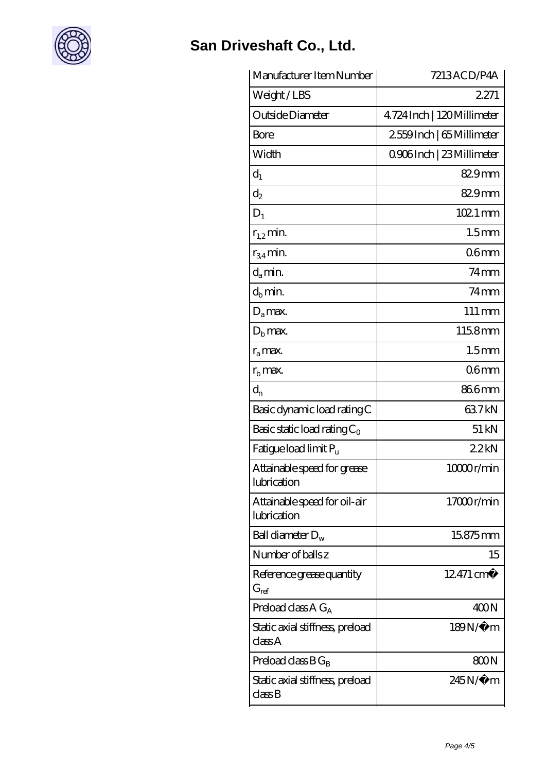

| Manufacturer Item Number                    | 7213ACD/P4A                 |
|---------------------------------------------|-----------------------------|
| Weight/LBS                                  | 2271                        |
| Outside Diameter                            | 4.724 Inch   120 Millimeter |
| Bore                                        | 2559Inch   65 Millimeter    |
| Width                                       | 0906Inch   23 Millimeter    |
| $d_1$                                       | 829mm                       |
| $d_2$                                       | 829mm                       |
| $D_1$                                       | $1021$ mm                   |
| $r_{1,2}$ min.                              | 1.5 <sub>mm</sub>           |
| $r_{34}$ min.                               | 06 <sub>mm</sub>            |
| $d_a$ min.                                  | $74$ mm                     |
| $d_b$ min.                                  | $74$ mm                     |
| $D_a$ max.                                  | $111 \,\mathrm{mm}$         |
| $Db$ max.                                   | 115.8mm                     |
| $r_a$ max.                                  | 1.5 <sub>mm</sub>           |
| $r_{\rm b}$ max.                            | 06 <sub>mm</sub>            |
| $d_{n}$                                     | 866mm                       |
| Basic dynamic load rating C                 | 637kN                       |
| Basic static load rating $C_0$              | 51 kN                       |
| Fatigue load limit Pu                       | 22kN                        |
| Attainable speed for grease<br>lubrication  | 10000r/min                  |
| Attainable speed for oil-air<br>lubrication | 17000r/min                  |
| Ball diameter $D_w$                         | 15875mm                     |
| Number of balls z                           | 15                          |
| Reference grease quantity<br>$G_{ref}$      | $12471 \,\mathrm{cm}^3$     |
| Preload class A G <sub>A</sub>              | 400N                        |
| Static axial stiffness, preload<br>class A  | 189N/μ m                    |
| Preload class $BG_B$                        | 800N                        |
| Static axial stiffness, preload<br>classB   | 245N/µ m                    |
|                                             |                             |